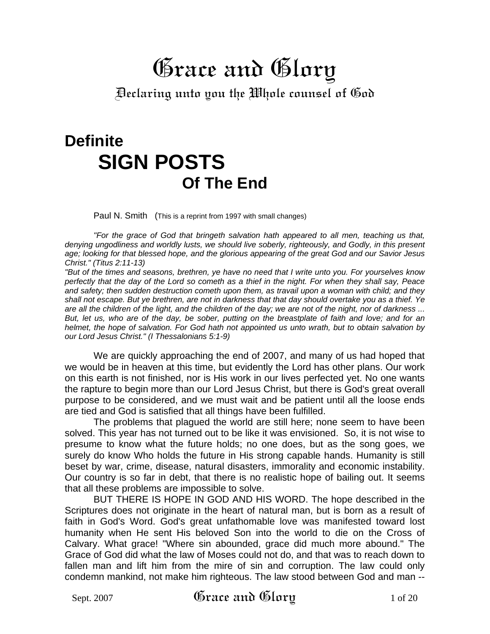# Grace and Glory

Declaring unto you the Whole counsel of God

# **Definite SIGN POSTS Of The End**

Paul N. Smith (This is a reprint from 1997 with small changes)

*"For the grace of God that bringeth salvation hath appeared to all men, teaching us that, denying ungodliness and worldly lusts, we should live soberly, righteously, and Godly, in this present age; looking for that blessed hope, and the glorious appearing of the great God and our Savior Jesus Christ." (Titus 2:11-13)* 

*"But of the times and seasons, brethren, ye have no need that I write unto you. For yourselves know perfectly that the day of the Lord so cometh as a thief in the night. For when they shall say, Peace*  and safety; then sudden destruction cometh upon them, as travail upon a woman with child; and they *shall not escape. But ye brethren, are not in darkness that that day should overtake you as a thief. Ye are all the children of the light, and the children of the day; we are not of the night, nor of darkness ... But, let us, who are of the day, be sober, putting on the breastplate of faith and love; and for an helmet, the hope of salvation. For God hath not appointed us unto wrath, but to obtain salvation by our Lord Jesus Christ." (I Thessalonians 5:1-9)* 

We are quickly approaching the end of 2007, and many of us had hoped that we would be in heaven at this time, but evidently the Lord has other plans. Our work on this earth is not finished, nor is His work in our lives perfected yet. No one wants the rapture to begin more than our Lord Jesus Christ, but there is God's great overall purpose to be considered, and we must wait and be patient until all the loose ends are tied and God is satisfied that all things have been fulfilled.

The problems that plagued the world are still here; none seem to have been solved. This year has not turned out to be like it was envisioned. So, it is not wise to presume to know what the future holds; no one does, but as the song goes, we surely do know Who holds the future in His strong capable hands. Humanity is still beset by war, crime, disease, natural disasters, immorality and economic instability. Our country is so far in debt, that there is no realistic hope of bailing out. It seems that all these problems are impossible to solve.

BUT THERE IS HOPE IN GOD AND HIS WORD. The hope described in the Scriptures does not originate in the heart of natural man, but is born as a result of faith in God's Word. God's great unfathomable love was manifested toward lost humanity when He sent His beloved Son into the world to die on the Cross of Calvary. What grace! "Where sin abounded, grace did much more abound." The Grace of God did what the law of Moses could not do, and that was to reach down to fallen man and lift him from the mire of sin and corruption. The law could only condemn mankind, not make him righteous. The law stood between God and man --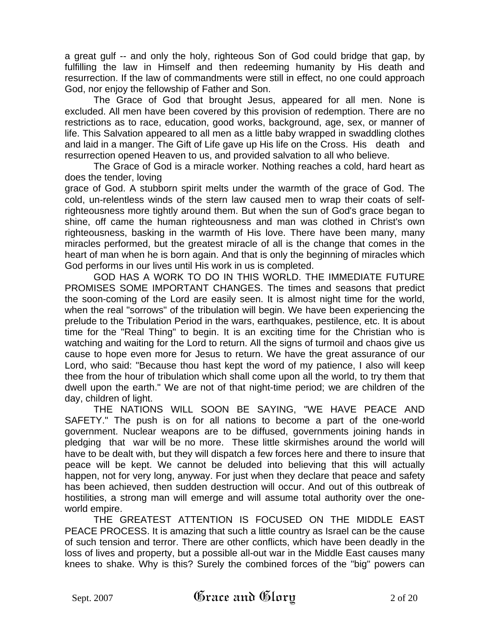a great gulf -- and only the holy, righteous Son of God could bridge that gap, by fulfilling the law in Himself and then redeeming humanity by His death and resurrection. If the law of commandments were still in effect, no one could approach God, nor enjoy the fellowship of Father and Son.

The Grace of God that brought Jesus, appeared for all men. None is excluded. All men have been covered by this provision of redemption. There are no restrictions as to race, education, good works, background, age, sex, or manner of life. This Salvation appeared to all men as a little baby wrapped in swaddling clothes and laid in a manger. The Gift of Life gave up His life on the Cross. His death and resurrection opened Heaven to us, and provided salvation to all who believe.

The Grace of God is a miracle worker. Nothing reaches a cold, hard heart as does the tender, loving

grace of God. A stubborn spirit melts under the warmth of the grace of God. The cold, un-relentless winds of the stern law caused men to wrap their coats of selfrighteousness more tightly around them. But when the sun of God's grace began to shine, off came the human righteousness and man was clothed in Christ's own righteousness, basking in the warmth of His love. There have been many, many miracles performed, but the greatest miracle of all is the change that comes in the heart of man when he is born again. And that is only the beginning of miracles which God performs in our lives until His work in us is completed.

GOD HAS A WORK TO DO IN THIS WORLD. THE IMMEDIATE FUTURE PROMISES SOME IMPORTANT CHANGES. The times and seasons that predict the soon-coming of the Lord are easily seen. It is almost night time for the world, when the real "sorrows" of the tribulation will begin. We have been experiencing the prelude to the Tribulation Period in the wars, earthquakes, pestilence, etc. It is about time for the "Real Thing" to begin. It is an exciting time for the Christian who is watching and waiting for the Lord to return. All the signs of turmoil and chaos give us cause to hope even more for Jesus to return. We have the great assurance of our Lord, who said: "Because thou hast kept the word of my patience, I also will keep thee from the hour of tribulation which shall come upon all the world, to try them that dwell upon the earth." We are not of that night-time period; we are children of the day, children of light.

THE NATIONS WILL SOON BE SAYING, "WE HAVE PEACE AND SAFETY." The push is on for all nations to become a part of the one-world government. Nuclear weapons are to be diffused, governments joining hands in pledging that war will be no more. These little skirmishes around the world will have to be dealt with, but they will dispatch a few forces here and there to insure that peace will be kept. We cannot be deluded into believing that this will actually happen, not for very long, anyway. For just when they declare that peace and safety has been achieved, then sudden destruction will occur. And out of this outbreak of hostilities, a strong man will emerge and will assume total authority over the oneworld empire.

THE GREATEST ATTENTION IS FOCUSED ON THE MIDDLE EAST PEACE PROCESS. It is amazing that such a little country as Israel can be the cause of such tension and terror. There are other conflicts, which have been deadly in the loss of lives and property, but a possible all-out war in the Middle East causes many knees to shake. Why is this? Surely the combined forces of the "big" powers can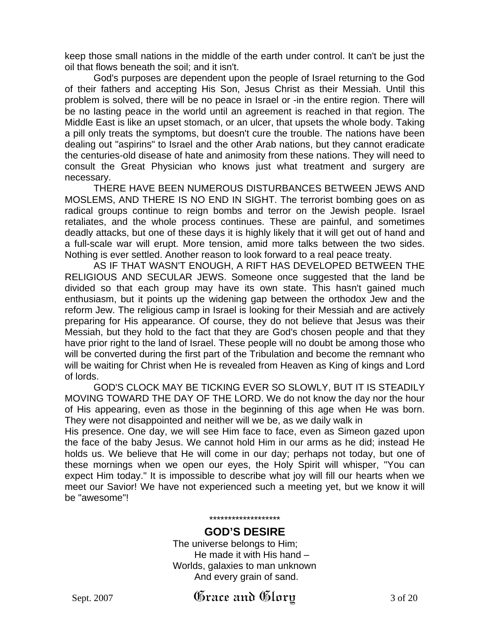keep those small nations in the middle of the earth under control. It can't be just the oil that flows beneath the soil; and it isn't.

God's purposes are dependent upon the people of Israel returning to the God of their fathers and accepting His Son, Jesus Christ as their Messiah. Until this problem is solved, there will be no peace in Israel or -in the entire region. There will be no lasting peace in the world until an agreement is reached in that region. The Middle East is like an upset stomach, or an ulcer, that upsets the whole body. Taking a pill only treats the symptoms, but doesn't cure the trouble. The nations have been dealing out "aspirins" to Israel and the other Arab nations, but they cannot eradicate the centuries-old disease of hate and animosity from these nations. They will need to consult the Great Physician who knows just what treatment and surgery are necessary.

THERE HAVE BEEN NUMEROUS DISTURBANCES BETWEEN JEWS AND MOSLEMS, AND THERE IS NO END IN SIGHT. The terrorist bombing goes on as radical groups continue to reign bombs and terror on the Jewish people. Israel retaliates, and the whole process continues. These are painful, and sometimes deadly attacks, but one of these days it is highly likely that it will get out of hand and a full-scale war will erupt. More tension, amid more talks between the two sides. Nothing is ever settled. Another reason to look forward to a real peace treaty.

AS IF THAT WASN'T ENOUGH, A RIFT HAS DEVELOPED BETWEEN THE RELIGIOUS AND SECULAR JEWS. Someone once suggested that the land be divided so that each group may have its own state. This hasn't gained much enthusiasm, but it points up the widening gap between the orthodox Jew and the reform Jew. The religious camp in Israel is looking for their Messiah and are actively preparing for His appearance. Of course, they do not believe that Jesus was their Messiah, but they hold to the fact that they are God's chosen people and that they have prior right to the land of Israel. These people will no doubt be among those who will be converted during the first part of the Tribulation and become the remnant who will be waiting for Christ when He is revealed from Heaven as King of kings and Lord of lords.

GOD'S CLOCK MAY BE TICKING EVER SO SLOWLY, BUT IT IS STEADILY MOVING TOWARD THE DAY OF THE LORD. We do not know the day nor the hour of His appearing, even as those in the beginning of this age when He was born. They were not disappointed and neither will we be, as we daily walk in

His presence. One day, we will see Him face to face, even as Simeon gazed upon the face of the baby Jesus. We cannot hold Him in our arms as he did; instead He holds us. We believe that He will come in our day; perhaps not today, but one of these mornings when we open our eyes, the Holy Spirit will whisper, "You can expect Him today." It is impossible to describe what joy will fill our hearts when we meet our Savior! We have not experienced such a meeting yet, but we know it will be "awesome"!

### \*\*\*\*\*\*\*\*\*\*\*\*\*\*\*\*\*\*\* **GOD'S DESIRE**

The universe belongs to Him; He made it with His hand – Worlds, galaxies to man unknown And every grain of sand.

## Sept. 2007 **Grace and Glory**  $3$  of 20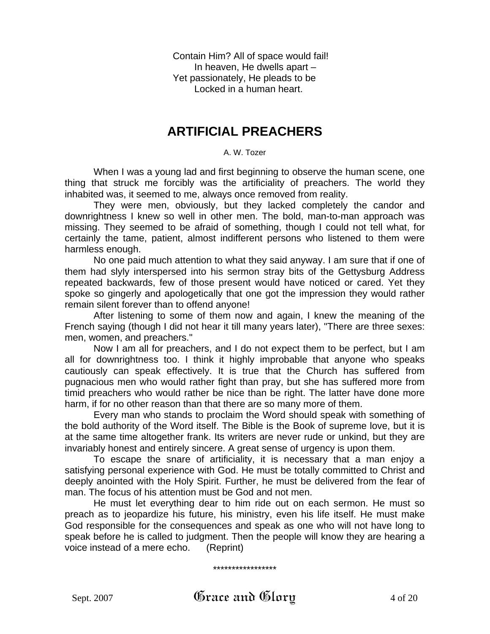Contain Him? All of space would fail! In heaven, He dwells apart – Yet passionately, He pleads to be Locked in a human heart.

### **ARTIFICIAL PREACHERS**

A. W. Tozer

When I was a young lad and first beginning to observe the human scene, one thing that struck me forcibly was the artificiality of preachers. The world they inhabited was, it seemed to me, always once removed from reality.

They were men, obviously, but they lacked completely the candor and downrightness I knew so well in other men. The bold, man-to-man approach was missing. They seemed to be afraid of something, though I could not tell what, for certainly the tame, patient, almost indifferent persons who listened to them were harmless enough.

No one paid much attention to what they said anyway. I am sure that if one of them had slyly interspersed into his sermon stray bits of the Gettysburg Address repeated backwards, few of those present would have noticed or cared. Yet they spoke so gingerly and apologetically that one got the impression they would rather remain silent forever than to offend anyone!

After listening to some of them now and again, I knew the meaning of the French saying (though I did not hear it till many years later), "There are three sexes: men, women, and preachers."

Now I am all for preachers, and I do not expect them to be perfect, but I am all for downrightness too. I think it highly improbable that anyone who speaks cautiously can speak effectively. It is true that the Church has suffered from pugnacious men who would rather fight than pray, but she has suffered more from timid preachers who would rather be nice than be right. The latter have done more harm, if for no other reason than that there are so many more of them.

Every man who stands to proclaim the Word should speak with something of the bold authority of the Word itself. The Bible is the Book of supreme love, but it is at the same time altogether frank. Its writers are never rude or unkind, but they are invariably honest and entirely sincere. A great sense of urgency is upon them.

To escape the snare of artificiality, it is necessary that a man enjoy a satisfying personal experience with God. He must be totally committed to Christ and deeply anointed with the Holy Spirit. Further, he must be delivered from the fear of man. The focus of his attention must be God and not men.

He must let everything dear to him ride out on each sermon. He must so preach as to jeopardize his future, his ministry, even his life itself. He must make God responsible for the consequences and speak as one who will not have long to speak before he is called to judgment. Then the people will know they are hearing a voice instead of a mere echo. (Reprint)

\*\*\*\*\*\*\*\*\*\*\*\*\*\*\*\*\*\*\*\*\*\*\*\*\*\*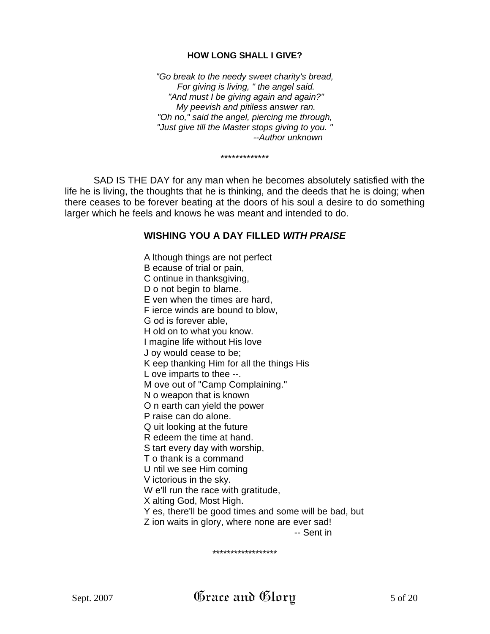### **HOW LONG SHALL I GIVE?**

*"Go break to the needy sweet charity's bread, For giving is living, " the angel said. "And must I be giving again and again?" My peevish and pitiless answer ran. "Oh no," said the angel, piercing me through, "Just give till the Master stops giving to you. " --Author unknown* 

\*\*\*\*\*\*\*\*\*\*\*\*\*

SAD IS THE DAY for any man when he becomes absolutely satisfied with the life he is living, the thoughts that he is thinking, and the deeds that he is doing; when there ceases to be forever beating at the doors of his soul a desire to do something larger which he feels and knows he was meant and intended to do.

### **WISHING YOU A DAY FILLED** *WITH PRAISE*

A lthough things are not perfect B ecause of trial or pain, C ontinue in thanksgiving, D o not begin to blame. E ven when the times are hard, F ierce winds are bound to blow, G od is forever able, H old on to what you know. I magine life without His love J oy would cease to be; K eep thanking Him for all the things His L ove imparts to thee --. M ove out of "Camp Complaining." N o weapon that is known O n earth can yield the power P raise can do alone. Q uit looking at the future R edeem the time at hand. S tart every day with worship, T o thank is a command U ntil we see Him coming V ictorious in the sky. W e'll run the race with gratitude, X alting God, Most High. Y es, there'll be good times and some will be bad, but Z ion waits in glory, where none are ever sad! -- Sent in

\*\*\*\*\*\*\*\*\*\*\*\*\*\*\*\*\*\*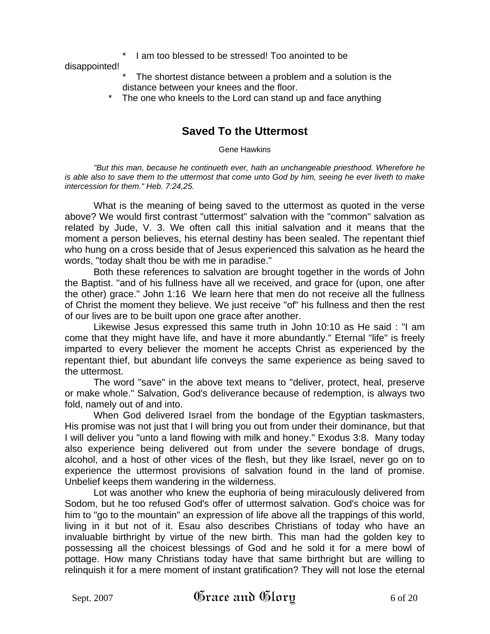I am too blessed to be stressed! Too anointed to be

disappointed!

The shortest distance between a problem and a solution is the distance between your knees and the floor.

\* The one who kneels to the Lord can stand up and face anything

### **Saved To the Uttermost**

#### Gene Hawkins

*"But this man, because he continueth ever, hath an unchangeable priesthood. Wherefore he is able also to save them to the uttermost that come unto God by him, seeing he ever liveth to make intercession for them." Heb. 7:24,25.* 

What is the meaning of being saved to the uttermost as quoted in the verse above? We would first contrast "uttermost" salvation with the "common" salvation as related by Jude, V. 3. We often call this initial salvation and it means that the moment a person believes, his eternal destiny has been sealed. The repentant thief who hung on a cross beside that of Jesus experienced this salvation as he heard the words, "today shalt thou be with me in paradise."

Both these references to salvation are brought together in the words of John the Baptist. "and of his fullness have all we received, and grace for (upon, one after the other) grace." John 1:16 We learn here that men do not receive all the fullness of Christ the moment they believe. We just receive "of" his fullness and then the rest of our lives are to be built upon one grace after another.

Likewise Jesus expressed this same truth in John 10:10 as He said : "I am come that they might have life, and have it more abundantly." Eternal "life" is freely imparted to every believer the moment he accepts Christ as experienced by the repentant thief, but abundant life conveys the same experience as being saved to the uttermost.

The word "save" in the above text means to "deliver, protect, heal, preserve or make whole." Salvation, God's deliverance because of redemption, is always two fold, namely out of and into.

When God delivered Israel from the bondage of the Egyptian taskmasters, His promise was not just that I will bring you out from under their dominance, but that I will deliver you "unto a land flowing with milk and honey." Exodus 3:8. Many today also experience being delivered out from under the severe bondage of drugs, alcohol, and a host of other vices of the flesh, but they like Israel, never go on to experience the uttermost provisions of salvation found in the land of promise. Unbelief keeps them wandering in the wilderness.

Lot was another who knew the euphoria of being miraculously delivered from Sodom, but he too refused God's offer of uttermost salvation. God's choice was for him to "go to the mountain" an expression of life above all the trappings of this world, living in it but not of it. Esau also describes Christians of today who have an invaluable birthright by virtue of the new birth. This man had the golden key to possessing all the choicest blessings of God and he sold it for a mere bowl of pottage. How many Christians today have that same birthright but are willing to relinquish it for a mere moment of instant gratification? They will not lose the eternal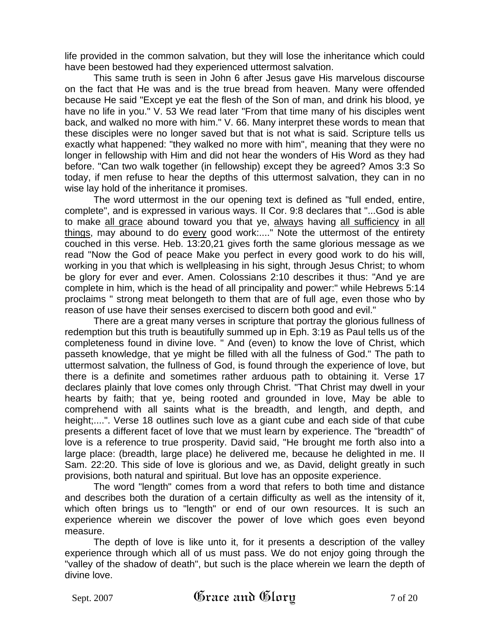life provided in the common salvation, but they will lose the inheritance which could have been bestowed had they experienced uttermost salvation.

This same truth is seen in John 6 after Jesus gave His marvelous discourse on the fact that He was and is the true bread from heaven. Many were offended because He said "Except ye eat the flesh of the Son of man, and drink his blood, ye have no life in you." V. 53 We read later "From that time many of his disciples went back, and walked no more with him." V. 66. Many interpret these words to mean that these disciples were no longer saved but that is not what is said. Scripture tells us exactly what happened: "they walked no more with him", meaning that they were no longer in fellowship with Him and did not hear the wonders of His Word as they had before. "Can two walk together (in fellowship) except they be agreed? Amos 3:3 So today, if men refuse to hear the depths of this uttermost salvation, they can in no wise lay hold of the inheritance it promises.

The word uttermost in the our opening text is defined as "full ended, entire, complete", and is expressed in various ways. II Cor. 9:8 declares that "...God is able to make all grace abound toward you that ye, always having all sufficiency in all things, may abound to do every good work:...." Note the uttermost of the entirety couched in this verse. Heb. 13:20,21 gives forth the same glorious message as we read "Now the God of peace Make you perfect in every good work to do his will, working in you that which is wellpleasing in his sight, through Jesus Christ; to whom be glory for ever and ever. Amen. Colossians 2:10 describes it thus: "And ye are complete in him, which is the head of all principality and power:" while Hebrews 5:14 proclaims " strong meat belongeth to them that are of full age, even those who by reason of use have their senses exercised to discern both good and evil."

There are a great many verses in scripture that portray the glorious fullness of redemption but this truth is beautifully summed up in Eph. 3:19 as Paul tells us of the completeness found in divine love. " And (even) to know the love of Christ, which passeth knowledge, that ye might be filled with all the fulness of God." The path to uttermost salvation, the fullness of God, is found through the experience of love, but there is a definite and sometimes rather arduous path to obtaining it. Verse 17 declares plainly that love comes only through Christ. "That Christ may dwell in your hearts by faith; that ye, being rooted and grounded in love, May be able to comprehend with all saints what is the breadth, and length, and depth, and height;....". Verse 18 outlines such love as a giant cube and each side of that cube presents a different facet of love that we must learn by experience. The "breadth" of love is a reference to true prosperity. David said, "He brought me forth also into a large place: (breadth, large place) he delivered me, because he delighted in me. II Sam. 22:20. This side of love is glorious and we, as David, delight greatly in such provisions, both natural and spiritual. But love has an opposite experience.

The word "length" comes from a word that refers to both time and distance and describes both the duration of a certain difficulty as well as the intensity of it, which often brings us to "length" or end of our own resources. It is such an experience wherein we discover the power of love which goes even beyond measure.

The depth of love is like unto it, for it presents a description of the valley experience through which all of us must pass. We do not enjoy going through the "valley of the shadow of death", but such is the place wherein we learn the depth of divine love.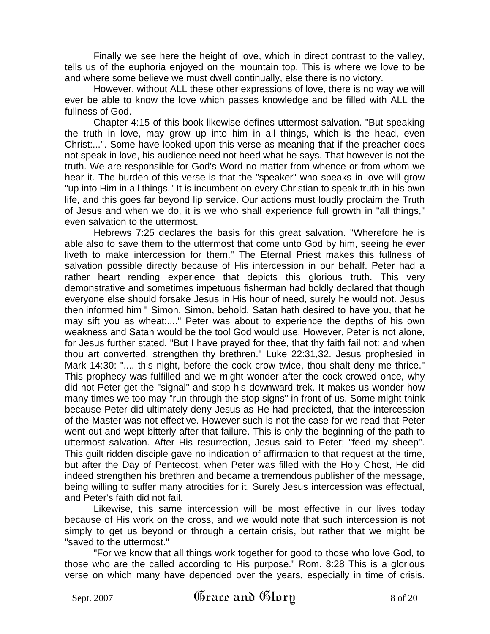Finally we see here the height of love, which in direct contrast to the valley, tells us of the euphoria enjoyed on the mountain top. This is where we love to be and where some believe we must dwell continually, else there is no victory.

However, without ALL these other expressions of love, there is no way we will ever be able to know the love which passes knowledge and be filled with ALL the fullness of God.

Chapter 4:15 of this book likewise defines uttermost salvation. "But speaking the truth in love, may grow up into him in all things, which is the head, even Christ:...". Some have looked upon this verse as meaning that if the preacher does not speak in love, his audience need not heed what he says. That however is not the truth. We are responsible for God's Word no matter from whence or from whom we hear it. The burden of this verse is that the "speaker" who speaks in love will grow "up into Him in all things." It is incumbent on every Christian to speak truth in his own life, and this goes far beyond lip service. Our actions must loudly proclaim the Truth of Jesus and when we do, it is we who shall experience full growth in "all things," even salvation to the uttermost.

Hebrews 7:25 declares the basis for this great salvation. "Wherefore he is able also to save them to the uttermost that come unto God by him, seeing he ever liveth to make intercession for them." The Eternal Priest makes this fullness of salvation possible directly because of His intercession in our behalf. Peter had a rather heart rending experience that depicts this glorious truth. This very demonstrative and sometimes impetuous fisherman had boldly declared that though everyone else should forsake Jesus in His hour of need, surely he would not. Jesus then informed him " Simon, Simon, behold, Satan hath desired to have you, that he may sift you as wheat:...." Peter was about to experience the depths of his own weakness and Satan would be the tool God would use. However, Peter is not alone, for Jesus further stated, "But I have prayed for thee, that thy faith fail not: and when thou art converted, strengthen thy brethren." Luke 22:31,32. Jesus prophesied in Mark 14:30: ".... this night, before the cock crow twice, thou shalt deny me thrice." This prophecy was fulfilled and we might wonder after the cock crowed once, why did not Peter get the "signal" and stop his downward trek. It makes us wonder how many times we too may "run through the stop signs" in front of us. Some might think because Peter did ultimately deny Jesus as He had predicted, that the intercession of the Master was not effective. However such is not the case for we read that Peter went out and wept bitterly after that failure. This is only the beginning of the path to uttermost salvation. After His resurrection, Jesus said to Peter; "feed my sheep". This guilt ridden disciple gave no indication of affirmation to that request at the time, but after the Day of Pentecost, when Peter was filled with the Holy Ghost, He did indeed strengthen his brethren and became a tremendous publisher of the message, being willing to suffer many atrocities for it. Surely Jesus intercession was effectual, and Peter's faith did not fail.

Likewise, this same intercession will be most effective in our lives today because of His work on the cross, and we would note that such intercession is not simply to get us beyond or through a certain crisis, but rather that we might be "saved to the uttermost."

"For we know that all things work together for good to those who love God, to those who are the called according to His purpose." Rom. 8:28 This is a glorious verse on which many have depended over the years, especially in time of crisis.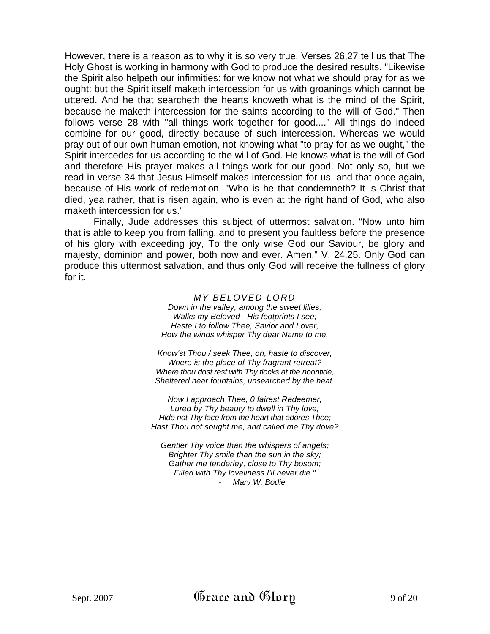However, there is a reason as to why it is so very true. Verses 26,27 tell us that The Holy Ghost is working in harmony with God to produce the desired results. "Likewise the Spirit also helpeth our infirmities: for we know not what we should pray for as we ought: but the Spirit itself maketh intercession for us with groanings which cannot be uttered. And he that searcheth the hearts knoweth what is the mind of the Spirit, because he maketh intercession for the saints according to the will of God." Then follows verse 28 with "all things work together for good...." All things do indeed combine for our good, directly because of such intercession. Whereas we would pray out of our own human emotion, not knowing what "to pray for as we ought," the Spirit intercedes for us according to the will of God. He knows what is the will of God and therefore His prayer makes all things work for our good. Not only so, but we read in verse 34 that Jesus Himself makes intercession for us, and that once again, because of His work of redemption. "Who is he that condemneth? It is Christ that died, yea rather, that is risen again, who is even at the right hand of God, who also maketh intercession for us."

Finally, Jude addresses this subject of uttermost salvation. "Now unto him that is able to keep you from falling, and to present you faultless before the presence of his glory with exceeding joy, To the only wise God our Saviour, be glory and majesty, dominion and power, both now and ever. Amen." V. 24,25. Only God can produce this uttermost salvation, and thus only God will receive the fullness of glory for it.

> *MY BELOVED LORD Down in the valley, among the sweet lilies, Walks my Beloved - His footprints I see; Haste I to follow Thee, Savior and Lover, How the winds whisper Thy dear Name to me.*

*Know'st Thou / seek Thee, oh, haste to discover, Where is the place of Thy fragrant retreat? Where thou dost rest with Thy flocks at the noontide, Sheltered near fountains, unsearched by the heat.* 

*Now I approach Thee, 0 fairest Redeemer, Lured by Thy beauty to dwell in Thy love; Hide not Thy face from the heart that adores Thee; Hast Thou not sought me, and called me Thy dove?* 

*Gentler Thy voice than the whispers of angels; Brighter Thy smile than the sun in the sky; Gather me tenderley, close to Thy bosom; Filled with Thy loveliness I'll never die."*  - *Mary W. Bodie*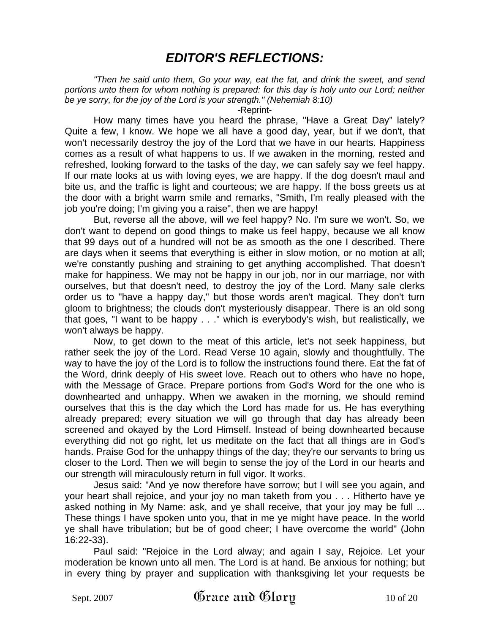### *EDITOR'S REFLECTIONS:*

*"Then he said unto them, Go your way, eat the fat, and drink the sweet, and send portions unto them for whom nothing is prepared: for this day is holy unto our Lord; neither be ye sorry, for the joy of the Lord is your strength." (Nehemiah 8:10)* 

-Reprint-

How many times have you heard the phrase, "Have a Great Day" lately? Quite a few, I know. We hope we all have a good day, year, but if we don't, that won't necessarily destroy the joy of the Lord that we have in our hearts. Happiness comes as a result of what happens to us. If we awaken in the morning, rested and refreshed, looking forward to the tasks of the day, we can safely say we feel happy. If our mate looks at us with loving eyes, we are happy. If the dog doesn't maul and bite us, and the traffic is light and courteous; we are happy. If the boss greets us at the door with a bright warm smile and remarks, "Smith, I'm really pleased with the job you're doing; I'm giving you a raise", then we are happy!

But, reverse all the above, will we feel happy? No. I'm sure we won't. So, we don't want to depend on good things to make us feel happy, because we all know that 99 days out of a hundred will not be as smooth as the one I described. There are days when it seems that everything is either in slow motion, or no motion at all; we're constantly pushing and straining to get anything accomplished. That doesn't make for happiness. We may not be happy in our job, nor in our marriage, nor with ourselves, but that doesn't need, to destroy the joy of the Lord. Many sale clerks order us to "have a happy day," but those words aren't magical. They don't turn gloom to brightness; the clouds don't mysteriously disappear. There is an old song that goes, "I want to be happy . . ." which is everybody's wish, but realistically, we won't always be happy.

Now, to get down to the meat of this article, let's not seek happiness, but rather seek the joy of the Lord. Read Verse 10 again, slowly and thoughtfully. The way to have the joy of the Lord is to follow the instructions found there. Eat the fat of the Word, drink deeply of His sweet love. Reach out to others who have no hope, with the Message of Grace. Prepare portions from God's Word for the one who is downhearted and unhappy. When we awaken in the morning, we should remind ourselves that this is the day which the Lord has made for us. He has everything already prepared; every situation we will go through that day has already been screened and okayed by the Lord Himself. Instead of being downhearted because everything did not go right, let us meditate on the fact that all things are in God's hands. Praise God for the unhappy things of the day; they're our servants to bring us closer to the Lord. Then we will begin to sense the joy of the Lord in our hearts and our strength will miraculously return in full vigor. It works.

Jesus said: "And ye now therefore have sorrow; but I will see you again, and your heart shall rejoice, and your joy no man taketh from you . . . Hitherto have ye asked nothing in My Name: ask, and ye shall receive, that your joy may be full ... These things I have spoken unto you, that in me ye might have peace. In the world ye shall have tribulation; but be of good cheer; I have overcome the world" (John 16:22-33).

Paul said: "Rejoice in the Lord alway; and again I say, Rejoice. Let your moderation be known unto all men. The Lord is at hand. Be anxious for nothing; but in every thing by prayer and supplication with thanksgiving let your requests be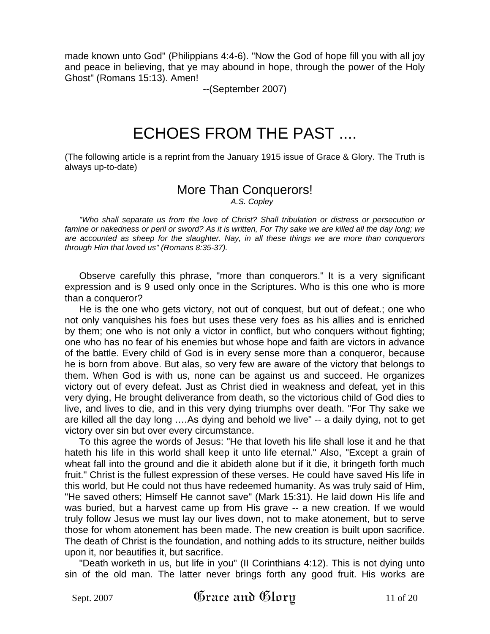made known unto God" (Philippians 4:4-6). "Now the God of hope fill you with all joy and peace in believing, that ye may abound in hope, through the power of the Holy Ghost" (Romans 15:13). Amen!

--(September 2007)

# ECHOES FROM THE PAST ....

(The following article is a reprint from the January 1915 issue of Grace & Glory. The Truth is always up-to-date)

# More Than Conquerors!

*A.S. Copley* 

*"Who shall separate us from the love of Christ? Shall tribulation or distress or persecution or famine or nakedness or peril or sword? As it is written, For Thy sake we are killed all the day long; we are accounted as sheep for the slaughter. Nay, in all these things we are more than conquerors through Him that loved us" (Romans 8:35-37).* 

Observe carefully this phrase, "more than conquerors." It is a very significant expression and is 9 used only once in the Scriptures. Who is this one who is more than a conqueror?

He is the one who gets victory, not out of conquest, but out of defeat.; one who not only vanquishes his foes but uses these very foes as his allies and is enriched by them; one who is not only a victor in conflict, but who conquers without fighting; one who has no fear of his enemies but whose hope and faith are victors in advance of the battle. Every child of God is in every sense more than a conqueror, because he is born from above. But alas, so very few are aware of the victory that belongs to them. When God is with us, none can be against us and succeed. He organizes victory out of every defeat. Just as Christ died in weakness and defeat, yet in this very dying, He brought deliverance from death, so the victorious child of God dies to live, and lives to die, and in this very dying triumphs over death. "For Thy sake we are killed all the day long .…As dying and behold we live" -- a daily dying, not to get victory over sin but over every circumstance.

To this agree the words of Jesus: "He that loveth his life shall lose it and he that hateth his life in this world shall keep it unto life eternal." Also, "Except a grain of wheat fall into the ground and die it abideth alone but if it die, it bringeth forth much fruit." Christ is the fullest expression of these verses. He could have saved His life in this world, but He could not thus have redeemed humanity. As was truly said of Him, "He saved others; Himself He cannot save" (Mark 15:31). He laid down His life and was buried, but a harvest came up from His grave -- a new creation. If we would truly follow Jesus we must lay our lives down, not to make atonement, but to serve those for whom atonement has been made. The new creation is built upon sacrifice. The death of Christ is the foundation, and nothing adds to its structure, neither builds upon it, nor beautifies it, but sacrifice.

"Death worketh in us, but life in you" (II Corinthians 4:12). This is not dying unto sin of the old man. The latter never brings forth any good fruit. His works are

Sept. 2007 **Grace and Glory** 11 of 20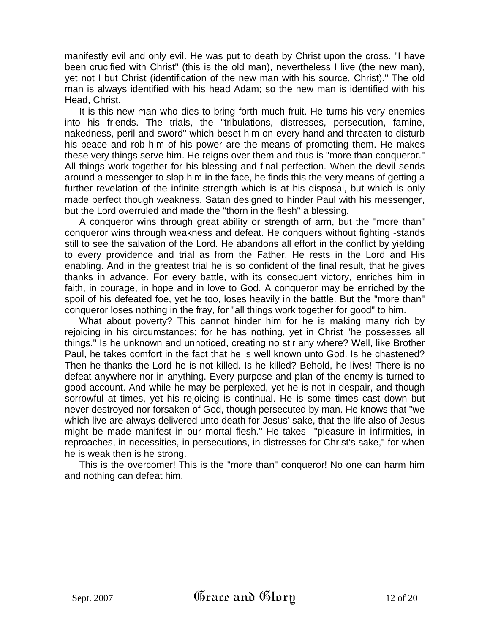manifestly evil and only evil. He was put to death by Christ upon the cross. "I have been crucified with Christ" (this is the old man), nevertheless I live (the new man), yet not I but Christ (identification of the new man with his source, Christ)." The old man is always identified with his head Adam; so the new man is identified with his Head, Christ.

It is this new man who dies to bring forth much fruit. He turns his very enemies into his friends. The trials, the "tribulations, distresses, persecution, famine, nakedness, peril and sword" which beset him on every hand and threaten to disturb his peace and rob him of his power are the means of promoting them. He makes these very things serve him. He reigns over them and thus is "more than conqueror." All things work together for his blessing and final perfection. When the devil sends around a messenger to slap him in the face, he finds this the very means of getting a further revelation of the infinite strength which is at his disposal, but which is only made perfect though weakness. Satan designed to hinder Paul with his messenger, but the Lord overruled and made the "thorn in the flesh" a blessing.

A conqueror wins through great ability or strength of arm, but the "more than" conqueror wins through weakness and defeat. He conquers without fighting -stands still to see the salvation of the Lord. He abandons all effort in the conflict by yielding to every providence and trial as from the Father. He rests in the Lord and His enabling. And in the greatest trial he is so confident of the final result, that he gives thanks in advance. For every battle, with its consequent victory, enriches him in faith, in courage, in hope and in love to God. A conqueror may be enriched by the spoil of his defeated foe, yet he too, loses heavily in the battle. But the "more than" conqueror loses nothing in the fray, for "all things work together for good" to him.

What about poverty? This cannot hinder him for he is making many rich by rejoicing in his circumstances; for he has nothing, yet in Christ "he possesses all things." Is he unknown and unnoticed, creating no stir any where? Well, like Brother Paul, he takes comfort in the fact that he is well known unto God. Is he chastened? Then he thanks the Lord he is not killed. Is he killed? Behold, he lives! There is no defeat anywhere nor in anything. Every purpose and plan of the enemy is turned to good account. And while he may be perplexed, yet he is not in despair, and though sorrowful at times, yet his rejoicing is continual. He is some times cast down but never destroyed nor forsaken of God, though persecuted by man. He knows that "we which live are always delivered unto death for Jesus' sake, that the life also of Jesus might be made manifest in our mortal flesh." He takes "pleasure in infirmities, in reproaches, in necessities, in persecutions, in distresses for Christ's sake," for when he is weak then is he strong.

This is the overcomer! This is the "more than" conqueror! No one can harm him and nothing can defeat him.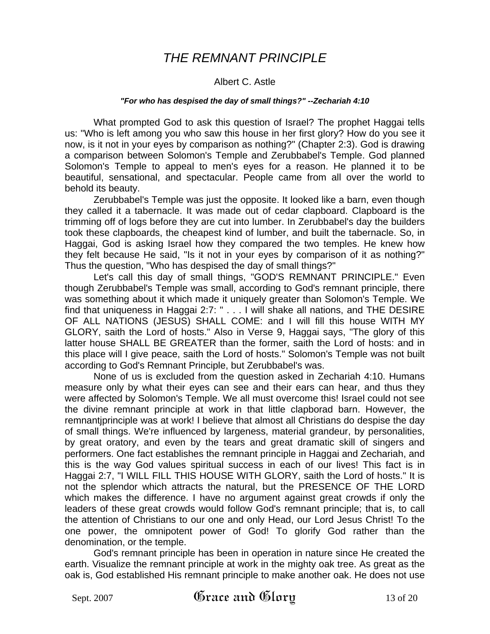## *THE REMNANT PRINCIPLE*

### Albert C. Astle

#### *"For who has despised the day of small things?" --Zechariah 4:10*

What prompted God to ask this question of Israel? The prophet Haggai tells us: "Who is left among you who saw this house in her first glory? How do you see it now, is it not in your eyes by comparison as nothing?" (Chapter 2:3). God is drawing a comparison between Solomon's Temple and Zerubbabel's Temple. God planned Solomon's Temple to appeal to men's eyes for a reason. He planned it to be beautiful, sensational, and spectacular. People came from all over the world to behold its beauty.

Zerubbabel's Temple was just the opposite. It looked like a barn, even though they called it a tabernacle. It was made out of cedar clapboard. Clapboard is the trimming off of logs before they are cut into lumber. In Zerubbabel's day the builders took these clapboards, the cheapest kind of lumber, and built the tabernacle. So, in Haggai, God is asking Israel how they compared the two temples. He knew how they felt because He said, "Is it not in your eyes by comparison of it as nothing?" Thus the question, "Who has despised the day of small things?"

Let's call this day of small things, "GOD'S REMNANT PRINCIPLE." Even though Zerubbabel's Temple was small, according to God's remnant principle, there was something about it which made it uniquely greater than Solomon's Temple. We find that uniqueness in Haggai 2:7: " . . . I will shake all nations, and THE DESIRE OF ALL NATIONS (JESUS) SHALL COME: and I will fill this house WITH MY GLORY, saith the Lord of hosts." Also in Verse 9, Haggai says, "The glory of this latter house SHALL BE GREATER than the former, saith the Lord of hosts: and in this place will I give peace, saith the Lord of hosts." Solomon's Temple was not built according to God's Remnant Principle, but Zerubbabel's was.

None of us is excluded from the question asked in Zechariah 4:10. Humans measure only by what their eyes can see and their ears can hear, and thus they were affected by Solomon's Temple. We all must overcome this! Israel could not see the divine remnant principle at work in that little clapborad barn. However, the remnantjprinciple was at work! I believe that almost all Christians do despise the day of small things. We're influenced by largeness, material grandeur, by personalities, by great oratory, and even by the tears and great dramatic skill of singers and performers. One fact establishes the remnant principle in Haggai and Zechariah, and this is the way God values spiritual success in each of our lives! This fact is in Haggai 2:7, "I WILL FILL THIS HOUSE WITH GLORY, saith the Lord of hosts." It is not the splendor which attracts the natural, but the PRESENCE OF THE LORD which makes the difference. I have no argument against great crowds if only the leaders of these great crowds would follow God's remnant principle; that is, to call the attention of Christians to our one and only Head, our Lord Jesus Christ! To the one power, the omnipotent power of God! To glorify God rather than the denomination, or the temple.

God's remnant principle has been in operation in nature since He created the earth. Visualize the remnant principle at work in the mighty oak tree. As great as the oak is, God established His remnant principle to make another oak. He does not use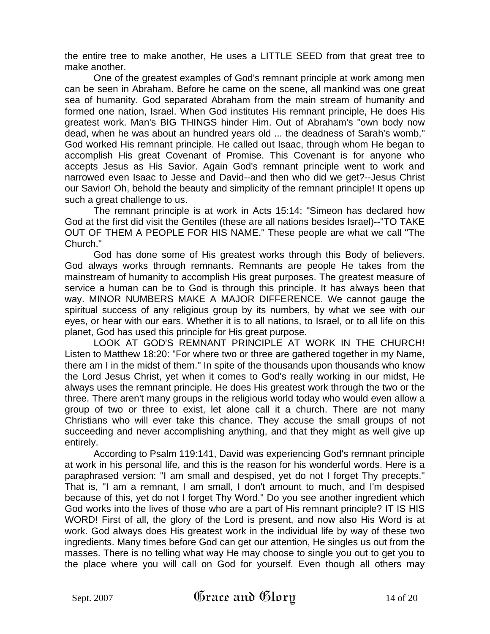the entire tree to make another, He uses a LITTLE SEED from that great tree to make another.

One of the greatest examples of God's remnant principle at work among men can be seen in Abraham. Before he came on the scene, all mankind was one great sea of humanity. God separated Abraham from the main stream of humanity and formed one nation, Israel. When God institutes His remnant principle, He does His greatest work. Man's BIG THINGS hinder Him. Out of Abraham's "own body now dead, when he was about an hundred years old ... the deadness of Sarah's womb," God worked His remnant principle. He called out Isaac, through whom He began to accomplish His great Covenant of Promise. This Covenant is for anyone who accepts Jesus as His Savior. Again God's remnant principle went to work and narrowed even Isaac to Jesse and David--and then who did we get?--Jesus Christ our Savior! Oh, behold the beauty and simplicity of the remnant principle! It opens up such a great challenge to us.

The remnant principle is at work in Acts 15:14: "Simeon has declared how God at the first did visit the Gentiles (these are all nations besides Israel)--"TO TAKE OUT OF THEM A PEOPLE FOR HIS NAME." These people are what we call "The Church."

God has done some of His greatest works through this Body of believers. God always works through remnants. Remnants are people He takes from the mainstream of humanity to accomplish His great purposes. The greatest measure of service a human can be to God is through this principle. It has always been that way. MINOR NUMBERS MAKE A MAJOR DIFFERENCE. We cannot gauge the spiritual success of any religious group by its numbers, by what we see with our eyes, or hear with our ears. Whether it is to all nations, to Israel, or to all life on this planet, God has used this principle for His great purpose.

LOOK AT GOD'S REMNANT PRINCIPLE AT WORK IN THE CHURCH! Listen to Matthew 18:20: "For where two or three are gathered together in my Name, there am I in the midst of them." In spite of the thousands upon thousands who know the Lord Jesus Christ, yet when it comes to God's really working in our midst, He always uses the remnant principle. He does His greatest work through the two or the three. There aren't many groups in the religious world today who would even allow a group of two or three to exist, let alone call it a church. There are not many Christians who will ever take this chance. They accuse the small groups of not succeeding and never accomplishing anything, and that they might as well give up entirely.

According to Psalm 119:141, David was experiencing God's remnant principle at work in his personal life, and this is the reason for his wonderful words. Here is a paraphrased version: "I am small and despised, yet do not I forget Thy precepts." That is, "I am a remnant, I am small, I don't amount to much, and I'm despised because of this, yet do not I forget Thy Word." Do you see another ingredient which God works into the lives of those who are a part of His remnant principle? IT IS HIS WORD! First of all, the glory of the Lord is present, and now also His Word is at work. God always does His greatest work in the individual life by way of these two ingredients. Many times before God can get our attention, He singles us out from the masses. There is no telling what way He may choose to single you out to get you to the place where you will call on God for yourself. Even though all others may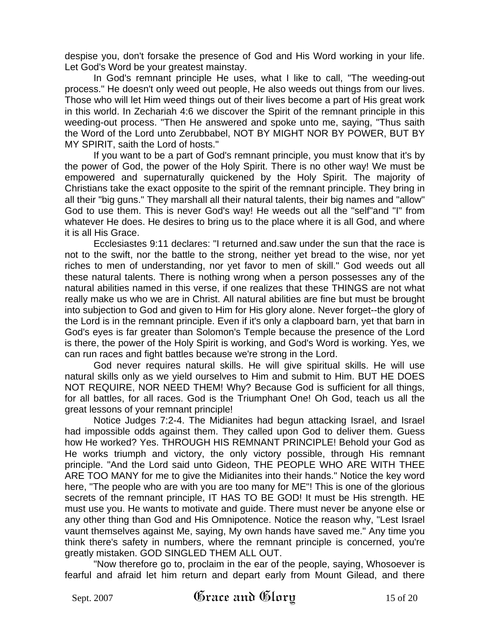despise you, don't forsake the presence of God and His Word working in your life. Let God's Word be your greatest mainstay.

In God's remnant principle He uses, what I like to call, "The weeding-out process." He doesn't only weed out people, He also weeds out things from our lives. Those who will let Him weed things out of their lives become a part of His great work in this world. In Zechariah 4:6 we discover the Spirit of the remnant principle in this weeding-out process. "Then He answered and spoke unto me, saying, "Thus saith the Word of the Lord unto Zerubbabel, NOT BY MIGHT NOR BY POWER, BUT BY MY SPIRIT, saith the Lord of hosts."

If you want to be a part of God's remnant principle, you must know that it's by the power of God, the power of the Holy Spirit. There is no other way! We must be empowered and supernaturally quickened by the Holy Spirit. The majority of Christians take the exact opposite to the spirit of the remnant principle. They bring in all their "big guns." They marshall all their natural talents, their big names and "allow" God to use them. This is never God's way! He weeds out all the "self"and "I" from whatever He does. He desires to bring us to the place where it is all God, and where it is all His Grace.

Ecclesiastes 9:11 declares: "I returned and.saw under the sun that the race is not to the swift, nor the battle to the strong, neither yet bread to the wise, nor yet riches to men of understanding, nor yet favor to men of skill." God weeds out all these natural talents. There is nothing wrong when a person possesses any of the natural abilities named in this verse, if one realizes that these THINGS are not what really make us who we are in Christ. All natural abilities are fine but must be brought into subjection to God and given to Him for His glory alone. Never forget--the glory of the Lord is in the remnant principle. Even if it's only a clapboard barn, yet that barn in God's eyes is far greater than Solomon's Temple because the presence of the Lord is there, the power of the Holy Spirit is working, and God's Word is working. Yes, we can run races and fight battles because we're strong in the Lord.

God never requires natural skills. He will give spiritual skills. He will use natural skills only as we yield ourselves to Him and submit to Him. BUT HE DOES NOT REQUIRE, NOR NEED THEM! Why? Because God is sufficient for all things, for all battles, for all races. God is the Triumphant One! Oh God, teach us all the great lessons of your remnant principle!

Notice Judges 7:2-4. The Midianites had begun attacking Israel, and Israel had impossible odds against them. They called upon God to deliver them. Guess how He worked? Yes. THROUGH HIS REMNANT PRINCIPLE! Behold your God as He works triumph and victory, the only victory possible, through His remnant principle. "And the Lord said unto Gideon, THE PEOPLE WHO ARE WITH THEE ARE TOO MANY for me to give the Midianites into their hands." Notice the key word here, "The people who are with you are too many for ME"! This is one of the glorious secrets of the remnant principle, IT HAS TO BE GOD! It must be His strength. HE must use you. He wants to motivate and guide. There must never be anyone else or any other thing than God and His Omnipotence. Notice the reason why, "Lest Israel vaunt themselves against Me, saying, My own hands have saved me." Any time you think there's safety in numbers, where the remnant principle is concerned, you're greatly mistaken. GOD SINGLED THEM ALL OUT.

"Now therefore go to, proclaim in the ear of the people, saying, Whosoever is fearful and afraid let him return and depart early from Mount Gilead, and there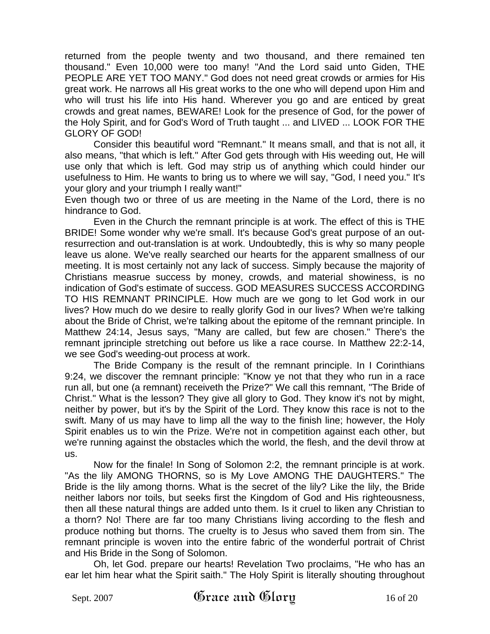returned from the people twenty and two thousand, and there remained ten thousand." Even 10,000 were too many! "And the Lord said unto Giden, THE PEOPLE ARE YET TOO MANY." God does not need great crowds or armies for His great work. He narrows all His great works to the one who will depend upon Him and who will trust his life into His hand. Wherever you go and are enticed by great crowds and great names, BEWARE! Look for the presence of God, for the power of the Holy Spirit, and for God's Word of Truth taught ... and LIVED ... LOOK FOR THE GLORY OF GOD!

Consider this beautiful word "Remnant." It means small, and that is not all, it also means, "that which is left." After God gets through with His weeding out, He will use only that which is left. God may strip us of anything which could hinder our usefulness to Him. He wants to bring us to where we will say, "God, I need you." It's your glory and your triumph I really want!"

Even though two or three of us are meeting in the Name of the Lord, there is no hindrance to God.

Even in the Church the remnant principle is at work. The effect of this is THE BRIDE! Some wonder why we're small. It's because God's great purpose of an outresurrection and out-translation is at work. Undoubtedly, this is why so many people leave us alone. We've really searched our hearts for the apparent smallness of our meeting. It is most certainly not any lack of success. Simply because the majority of Christians measrue success by money, crowds, and material showiness, is no indication of God's estimate of success. GOD MEASURES SUCCESS ACCORDING TO HIS REMNANT PRINCIPLE. How much are we gong to let God work in our lives? How much do we desire to really glorify God in our lives? When we're talking about the Bride of Christ, we're talking about the epitome of the remnant principle. In Matthew 24:14, Jesus says, "Many are called, but few are chosen." There's the remnant jprinciple stretching out before us like a race course. In Matthew 22:2-14, we see God's weeding-out process at work.

The Bride Company is the result of the remnant principle. In I Corinthians 9:24, we discover the remnant principle: "Know ye not that they who run in a race run all, but one (a remnant) receiveth the Prize?" We call this remnant, "The Bride of Christ." What is the lesson? They give all glory to God. They know it's not by might, neither by power, but it's by the Spirit of the Lord. They know this race is not to the swift. Many of us may have to limp all the way to the finish line; however, the Holy Spirit enables us to win the Prize. We're not in competition against each other, but we're running against the obstacles which the world, the flesh, and the devil throw at us.

Now for the finale! In Song of Solomon 2:2, the remnant principle is at work. "As the lily AMONG THORNS, so is My Love AMONG THE DAUGHTERS." The Bride is the lily among thorns. What is the secret of the lily? Like the lily, the Bride neither labors nor toils, but seeks first the Kingdom of God and His righteousness, then all these natural things are added unto them. Is it cruel to liken any Christian to a thorn? No! There are far too many Christians living according to the flesh and produce nothing but thorns. The cruelty is to Jesus who saved them from sin. The remnant principle is woven into the entire fabric of the wonderful portrait of Christ and His Bride in the Song of Solomon.

Oh, let God. prepare our hearts! Revelation Two proclaims, "He who has an ear let him hear what the Spirit saith." The Holy Spirit is literally shouting throughout

Sept. 2007 **Grace and Glory** 16 of 20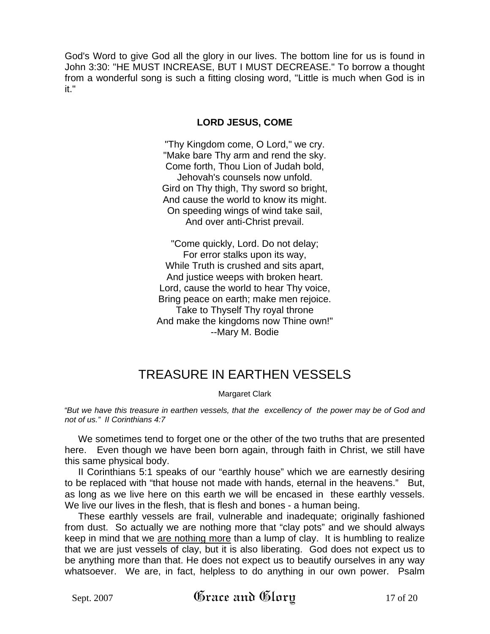God's Word to give God all the glory in our lives. The bottom line for us is found in John 3:30: "HE MUST INCREASE, BUT I MUST DECREASE." To borrow a thought from a wonderful song is such a fitting closing word, "Little is much when God is in it."

### **LORD JESUS, COME**

"Thy Kingdom come, O Lord," we cry. "Make bare Thy arm and rend the sky. Come forth, Thou Lion of Judah bold, Jehovah's counsels now unfold. Gird on Thy thigh, Thy sword so bright, And cause the world to know its might. On speeding wings of wind take sail, And over anti-Christ prevail.

"Come quickly, Lord. Do not delay; For error stalks upon its way, While Truth is crushed and sits apart, And justice weeps with broken heart. Lord, cause the world to hear Thy voice, Bring peace on earth; make men rejoice. Take to Thyself Thy royal throne And make the kingdoms now Thine own!" --Mary M. Bodie

# TREASURE IN EARTHEN VESSELS

### Margaret Clark

 *"But we have this treasure in earthen vessels, that the excellency of the power may be of God and not of us." II Corinthians 4:7* 

 We sometimes tend to forget one or the other of the two truths that are presented here. Even though we have been born again, through faith in Christ, we still have this same physical body.

 II Corinthians 5:1 speaks of our "earthly house" which we are earnestly desiring to be replaced with "that house not made with hands, eternal in the heavens." But, as long as we live here on this earth we will be encased in these earthly vessels. We live our lives in the flesh, that is flesh and bones - a human being.

 These earthly vessels are frail, vulnerable and inadequate; originally fashioned from dust. So actually we are nothing more that "clay pots" and we should always keep in mind that we are nothing more than a lump of clay. It is humbling to realize that we are just vessels of clay, but it is also liberating. God does not expect us to be anything more than that. He does not expect us to beautify ourselves in any way whatsoever. We are, in fact, helpless to do anything in our own power. Psalm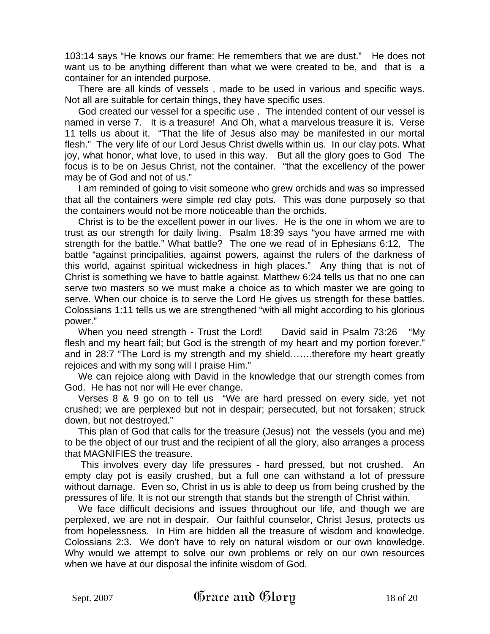103:14 says "He knows our frame: He remembers that we are dust." He does not want us to be anything different than what we were created to be, and that is a container for an intended purpose.

 There are all kinds of vessels , made to be used in various and specific ways. Not all are suitable for certain things, they have specific uses.

 God created our vessel for a specific use . The intended content of our vessel is named in verse 7. It is a treasure! And Oh, what a marvelous treasure it is. Verse 11 tells us about it. "That the life of Jesus also may be manifested in our mortal flesh." The very life of our Lord Jesus Christ dwells within us. In our clay pots. What joy, what honor, what love, to used in this way. But all the glory goes to God The focus is to be on Jesus Christ, not the container. "that the excellency of the power may be of God and not of us."

 I am reminded of going to visit someone who grew orchids and was so impressed that all the containers were simple red clay pots. This was done purposely so that the containers would not be more noticeable than the orchids.

 Christ is to be the excellent power in our lives. He is the one in whom we are to trust as our strength for daily living. Psalm 18:39 says "you have armed me with strength for the battle." What battle? The one we read of in Ephesians 6:12, The battle "against principalities, against powers, against the rulers of the darkness of this world, against spiritual wickedness in high places." Any thing that is not of Christ is something we have to battle against. Matthew 6:24 tells us that no one can serve two masters so we must make a choice as to which master we are going to serve. When our choice is to serve the Lord He gives us strength for these battles. Colossians 1:11 tells us we are strengthened "with all might according to his glorious power."

When you need strength - Trust the Lord! David said in Psalm 73:26 "My flesh and my heart fail; but God is the strength of my heart and my portion forever." and in 28:7 "The Lord is my strength and my shield…….therefore my heart greatly rejoices and with my song will I praise Him."

We can rejoice along with David in the knowledge that our strength comes from God. He has not nor will He ever change.

 Verses 8 & 9 go on to tell us "We are hard pressed on every side, yet not crushed; we are perplexed but not in despair; persecuted, but not forsaken; struck down, but not destroyed."

 This plan of God that calls for the treasure (Jesus) not the vessels (you and me) to be the object of our trust and the recipient of all the glory, also arranges a process that MAGNIFIES the treasure.

 This involves every day life pressures - hard pressed, but not crushed. An empty clay pot is easily crushed, but a full one can withstand a lot of pressure without damage. Even so, Christ in us is able to deep us from being crushed by the pressures of life. It is not our strength that stands but the strength of Christ within.

 We face difficult decisions and issues throughout our life, and though we are perplexed, we are not in despair. Our faithful counselor, Christ Jesus, protects us from hopelessness. In Him are hidden all the treasure of wisdom and knowledge. Colossians 2:3. We don't have to rely on natural wisdom or our own knowledge. Why would we attempt to solve our own problems or rely on our own resources when we have at our disposal the infinite wisdom of God.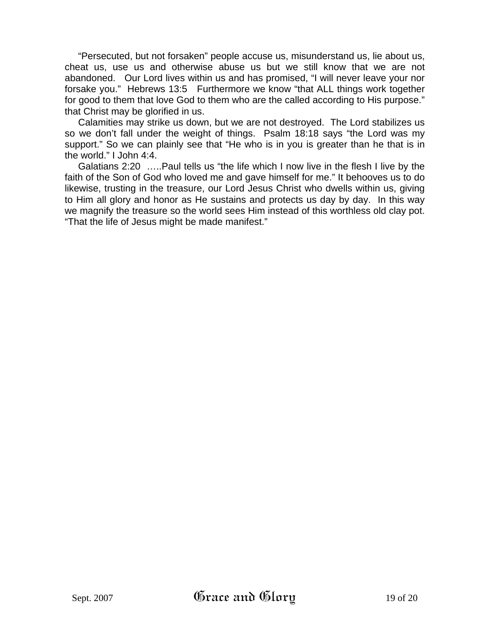"Persecuted, but not forsaken" people accuse us, misunderstand us, lie about us, cheat us, use us and otherwise abuse us but we still know that we are not abandoned. Our Lord lives within us and has promised, "I will never leave your nor forsake you." Hebrews 13:5 Furthermore we know "that ALL things work together for good to them that love God to them who are the called according to His purpose." that Christ may be glorified in us.

 Calamities may strike us down, but we are not destroyed. The Lord stabilizes us so we don't fall under the weight of things. Psalm 18:18 says "the Lord was my support." So we can plainly see that "He who is in you is greater than he that is in the world." I John 4:4.

 Galatians 2:20 …..Paul tells us "the life which I now live in the flesh I live by the faith of the Son of God who loved me and gave himself for me." It behooves us to do likewise, trusting in the treasure, our Lord Jesus Christ who dwells within us, giving to Him all glory and honor as He sustains and protects us day by day. In this way we magnify the treasure so the world sees Him instead of this worthless old clay pot. "That the life of Jesus might be made manifest."